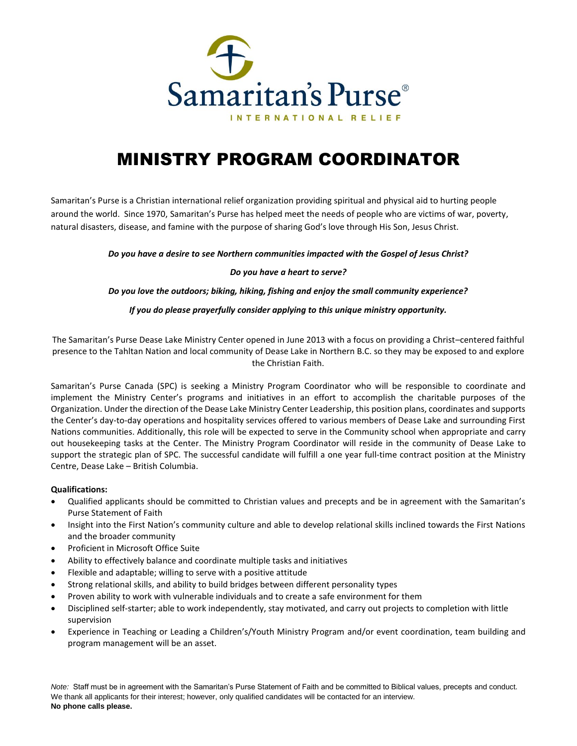

# MINISTRY PROGRAM COORDINATOR

Samaritan's Purse is a Christian international relief organization providing spiritual and physical aid to hurting people around the world. Since 1970, Samaritan's Purse has helped meet the needs of people who are victims of war, poverty, natural disasters, disease, and famine with the purpose of sharing God's love through His Son, Jesus Christ.

*Do you have a desire to see Northern communities impacted with the Gospel of Jesus Christ?*

#### *Do you have a heart to serve?*

*Do you love the outdoors; biking, hiking, fishing and enjoy the small community experience?*

#### *If you do please prayerfully consider applying to this unique ministry opportunity.*

The Samaritan's Purse Dease Lake Ministry Center opened in June 2013 with a focus on providing a Christ–centered faithful presence to the Tahltan Nation and local community of Dease Lake in Northern B.C. so they may be exposed to and explore the Christian Faith.

Samaritan's Purse Canada (SPC) is seeking a Ministry Program Coordinator who will be responsible to coordinate and implement the Ministry Center's programs and initiatives in an effort to accomplish the charitable purposes of the Organization. Under the direction of the Dease Lake Ministry Center Leadership, this position plans, coordinates and supports the Center's day-to-day operations and hospitality services offered to various members of Dease Lake and surrounding First Nations communities. Additionally, this role will be expected to serve in the Community school when appropriate and carry out housekeeping tasks at the Center. The Ministry Program Coordinator will reside in the community of Dease Lake to support the strategic plan of SPC. The successful candidate will fulfill a one year full-time contract position at the Ministry Centre, Dease Lake – British Columbia.

### **Qualifications:**

- Qualified applicants should be committed to Christian values and precepts and be in agreement with the Samaritan's Purse Statement of Faith
- Insight into the First Nation's community culture and able to develop relational skills inclined towards the First Nations and the broader community
- Proficient in Microsoft Office Suite
- Ability to effectively balance and coordinate multiple tasks and initiatives
- Flexible and adaptable; willing to serve with a positive attitude
- Strong relational skills, and ability to build bridges between different personality types
- Proven ability to work with vulnerable individuals and to create a safe environment for them
- Disciplined self-starter; able to work independently, stay motivated, and carry out projects to completion with little supervision
- Experience in Teaching or Leading a Children's/Youth Ministry Program and/or event coordination, team building and program management will be an asset.